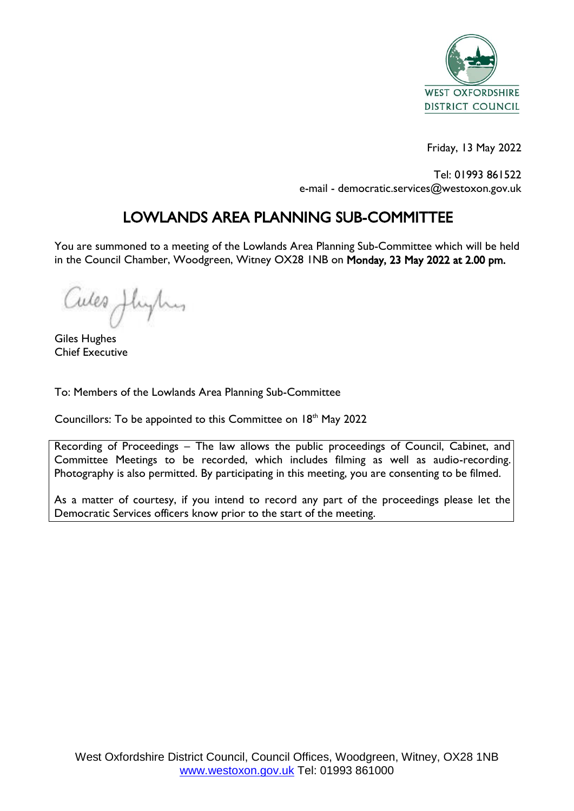

Friday, 13 May 2022

Tel: 01993 861522 e-mail - democratic.services@westoxon.gov.uk

## LOWLANDS AREA PLANNING SUB-COMMITTEE

You are summoned to a meeting of the Lowlands Area Planning Sub-Committee which will be held in the Council Chamber, Woodgreen, Witney OX28 1NB on Monday, 23 May 2022 at 2.00 pm.

Cules Jhylus

Giles Hughes Chief Executive

To: Members of the Lowlands Area Planning Sub-Committee

Councillors: To be appointed to this Committee on 18<sup>th</sup> May 2022

Recording of Proceedings – The law allows the public proceedings of Council, Cabinet, and Committee Meetings to be recorded, which includes filming as well as audio-recording. Photography is also permitted. By participating in this meeting, you are consenting to be filmed.

As a matter of courtesy, if you intend to record any part of the proceedings please let the Democratic Services officers know prior to the start of the meeting.